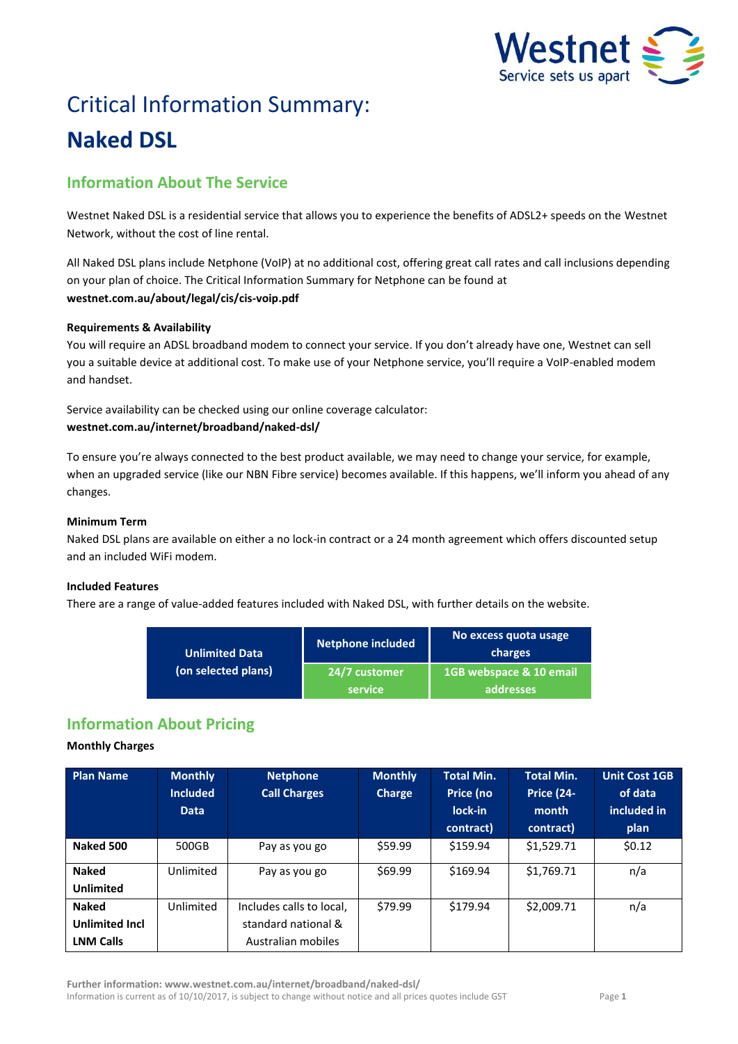

# Critical Information Summary: **Naked DSL**

## **Information About The Service**

Westnet Naked DSL is a residential service that allows you to experience the benefits of ADSL2+ speeds on the Westnet Network, without the cost of line rental.

All Naked DSL plans include Netphone (VoIP) at no additional cost, offering great call rates and call inclusions depending on your plan of choice. The Critical Information Summary for Netphone can be found at **westnet.com.au/about/legal/cis/cis-voip.pdf**

#### **Requirements & Availability**

You will require an ADSL broadband modem to connect your service. If you don't already have one, Westnet can sell you a suitable device at additional cost. To make use of your Netphone service, you'll require a VoIP-enabled modem and handset.

Service availability can be checked using our online coverage calculator: **westnet.com.au/internet/broadband/naked-dsl/**

To ensure you're always connected to the best product available, we may need to change your service, for example, when an upgraded service (like our NBN Fibre service) becomes available. If this happens, we'll inform you ahead of any changes.

#### **Minimum Term**

Naked DSL plans are available on either a no lock-in contract or a 24 month agreement which offers discounted setup and an included WiFi modem.

#### **Included Features**

There are a range of value-added features included with Naked DSL, with further details on the website.

| <b>Unlimited Data</b> | <b>Netphone included</b>        | No excess quota usage<br>charges     |  |
|-----------------------|---------------------------------|--------------------------------------|--|
| (on selected plans)   | 24/7 customer<br><b>service</b> | 1GB webspace & 10 email<br>addresses |  |

## **Information About Pricing**

#### **Monthly Charges**

| <b>Plan Name</b>      | <b>Monthly</b><br><b>Included</b><br><b>Data</b> | <b>Netphone</b><br><b>Call Charges</b> | <b>Monthly</b><br>Charge | Total Min.<br>Price (no<br>lock-in | <b>Total Min.</b><br><b>Price (24-</b><br>month | <b>Unit Cost 1GB</b><br>of data<br>included in |
|-----------------------|--------------------------------------------------|----------------------------------------|--------------------------|------------------------------------|-------------------------------------------------|------------------------------------------------|
|                       |                                                  |                                        |                          | contract)                          | contract)                                       | plan                                           |
| Naked 500             | 500GB                                            | Pay as you go                          | \$59.99                  | \$159.94                           | \$1,529.71                                      | \$0.12                                         |
| <b>Naked</b>          | Unlimited                                        | Pay as you go                          | \$69.99                  | \$169.94                           | \$1,769.71                                      | n/a                                            |
| <b>Unlimited</b>      |                                                  |                                        |                          |                                    |                                                 |                                                |
| <b>Naked</b>          | Unlimited                                        | Includes calls to local,               | \$79.99                  | \$179.94                           | \$2,009.71                                      | n/a                                            |
| <b>Unlimited Incl</b> |                                                  | standard national &                    |                          |                                    |                                                 |                                                |
| <b>LNM Calls</b>      |                                                  | Australian mobiles                     |                          |                                    |                                                 |                                                |